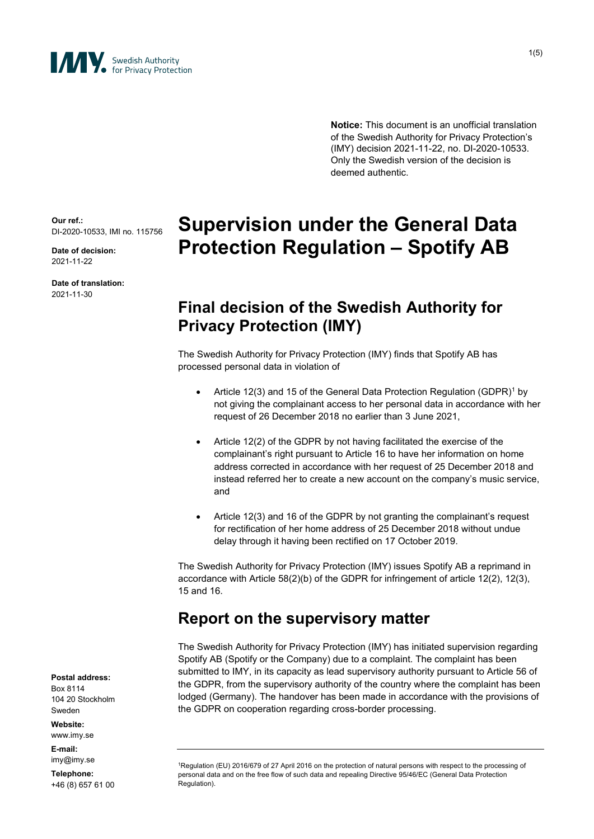

1(5)

**Notice:** This document is an unofficial translation of the Swedish Authority for Privacy Protection's (IMY) decision 2021-11-22, no. DI-2020-10533. Only the Swedish version of the decision is deemed authentic.

**Our ref.:** DI-2020-10533, IMI no. 115756

**Date of decision:** 2021-11-22

**Date of translation:** 2021-11-30

# **Supervision under the General Data Protection Regulation – Spotify AB**

# **Final decision of the Swedish Authority for Privacy Protection (IMY)**

The Swedish Authority for Privacy Protection (IMY) finds that Spotify AB has processed personal data in violation of

- Article 12(3) and 15 of the General Data Protection Regulation (GDPR)<sup>1</sup> by not giving the complainant access to her personal data in accordance with her request of 26 December 2018 no earlier than 3 June 2021,
- Article 12(2) of the GDPR by not having facilitated the exercise of the complainant's right pursuant to Article 16 to have her information on home address corrected in accordance with her request of 25 December 2018 and instead referred her to create a new account on the company's music service, and
- Article 12(3) and 16 of the GDPR by not granting the complainant's request for rectification of her home address of 25 December 2018 without undue delay through it having been rectified on 17 October 2019.

The Swedish Authority for Privacy Protection (IMY) issues Spotify AB a reprimand in accordance with Article 58(2)(b) of the GDPR for infringement of article 12(2), 12(3), 15 and 16.

# **Report on the supervisory matter**

The Swedish Authority for Privacy Protection (IMY) has initiated supervision regarding Spotify AB (Spotify or the Company) due to a complaint. The complaint has been submitted to IMY, in its capacity as lead supervisory authority pursuant to Article 56 of the GDPR, from the supervisory authority of the country where the complaint has been lodged (Germany). The handover has been made in accordance with the provisions of the GDPR on cooperation regarding cross-border processing.

**Postal address:**

Box 8114 104 20 Stockholm Sweden

**Website:** www.imy.se

**E-mail:** imy@imy.se

**Telephone:** +46 (8) 657 61 00

<sup>1</sup>Regulation (EU) 2016/679 of 27 April 2016 on the protection of natural persons with respect to the processing of personal data and on the free flow of such data and repealing Directive 95/46/EC (General Data Protection Regulation).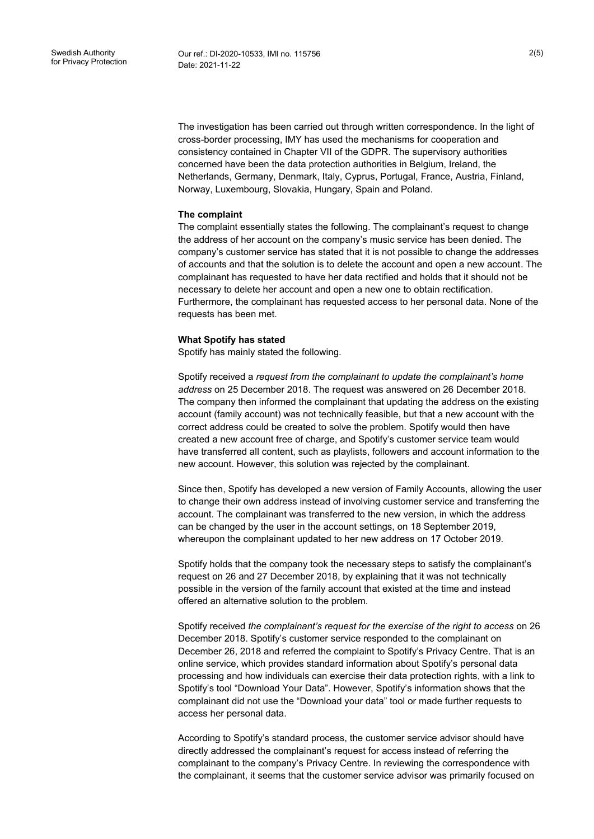The investigation has been carried out through written correspondence. In the light of cross-border processing, IMY has used the mechanisms for cooperation and consistency contained in Chapter VII of the GDPR. The supervisory authorities concerned have been the data protection authorities in Belgium, Ireland, the Netherlands, Germany, Denmark, Italy, Cyprus, Portugal, France, Austria, Finland, Norway, Luxembourg, Slovakia, Hungary, Spain and Poland.

#### **The complaint**

The complaint essentially states the following. The complainant's request to change the address of her account on the company's music service has been denied. The company's customer service has stated that it is not possible to change the addresses of accounts and that the solution is to delete the account and open a new account. The complainant has requested to have her data rectified and holds that it should not be necessary to delete her account and open a new one to obtain rectification. Furthermore, the complainant has requested access to her personal data. None of the requests has been met.

#### **What Spotify has stated**

Spotify has mainly stated the following.

Spotify received a *request from the complainant to update the complainant's home address* on 25 December 2018. The request was answered on 26 December 2018. The company then informed the complainant that updating the address on the existing account (family account) was not technically feasible, but that a new account with the correct address could be created to solve the problem. Spotify would then have created a new account free of charge, and Spotify's customer service team would have transferred all content, such as playlists, followers and account information to the new account. However, this solution was rejected by the complainant.

Since then, Spotify has developed a new version of Family Accounts, allowing the user to change their own address instead of involving customer service and transferring the account. The complainant was transferred to the new version, in which the address can be changed by the user in the account settings, on 18 September 2019, whereupon the complainant updated to her new address on 17 October 2019.

Spotify holds that the company took the necessary steps to satisfy the complainant's request on 26 and 27 December 2018, by explaining that it was not technically possible in the version of the family account that existed at the time and instead offered an alternative solution to the problem.

Spotify received *the complainant's request for the exercise of the right to access* on 26 December 2018. Spotify's customer service responded to the complainant on December 26, 2018 and referred the complaint to Spotify's Privacy Centre. That is an online service, which provides standard information about Spotify's personal data processing and how individuals can exercise their data protection rights, with a link to Spotify's tool "Download Your Data". However, Spotify's information shows that the complainant did not use the "Download your data" tool or made further requests to access her personal data.

According to Spotify's standard process, the customer service advisor should have directly addressed the complainant's request for access instead of referring the complainant to the company's Privacy Centre. In reviewing the correspondence with the complainant, it seems that the customer service advisor was primarily focused on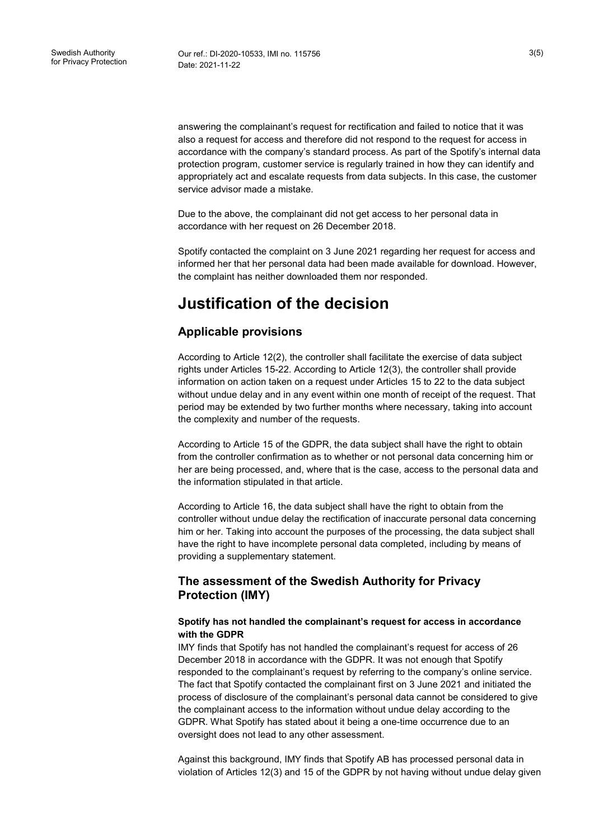answering the complainant's request for rectification and failed to notice that it was also a request for access and therefore did not respond to the request for access in accordance with the company's standard process. As part of the Spotify's internal data protection program, customer service is regularly trained in how they can identify and appropriately act and escalate requests from data subjects. In this case, the customer service advisor made a mistake.

Due to the above, the complainant did not get access to her personal data in accordance with her request on 26 December 2018.

Spotify contacted the complaint on 3 June 2021 regarding her request for access and informed her that her personal data had been made available for download. However, the complaint has neither downloaded them nor responded.

# **Justification of the decision**

## **Applicable provisions**

According to Article 12(2), the controller shall facilitate the exercise of data subject rights under Articles 15-22. According to Article 12(3), the controller shall provide information on action taken on a request under Articles 15 to 22 to the data subject without undue delay and in any event within one month of receipt of the request. That period may be extended by two further months where necessary, taking into account the complexity and number of the requests.

According to Article 15 of the GDPR, the data subject shall have the right to obtain from the controller confirmation as to whether or not personal data concerning him or her are being processed, and, where that is the case, access to the personal data and the information stipulated in that article.

According to Article 16, the data subject shall have the right to obtain from the controller without undue delay the rectification of inaccurate personal data concerning him or her. Taking into account the purposes of the processing, the data subject shall have the right to have incomplete personal data completed, including by means of providing a supplementary statement.

## **The assessment of the Swedish Authority for Privacy Protection (IMY)**

#### **Spotify has not handled the complainant's request for access in accordance with the GDPR**

IMY finds that Spotify has not handled the complainant's request for access of 26 December 2018 in accordance with the GDPR. It was not enough that Spotify responded to the complainant's request by referring to the company's online service. The fact that Spotify contacted the complainant first on 3 June 2021 and initiated the process of disclosure of the complainant's personal data cannot be considered to give the complainant access to the information without undue delay according to the GDPR. What Spotify has stated about it being a one-time occurrence due to an oversight does not lead to any other assessment.

Against this background, IMY finds that Spotify AB has processed personal data in violation of Articles 12(3) and 15 of the GDPR by not having without undue delay given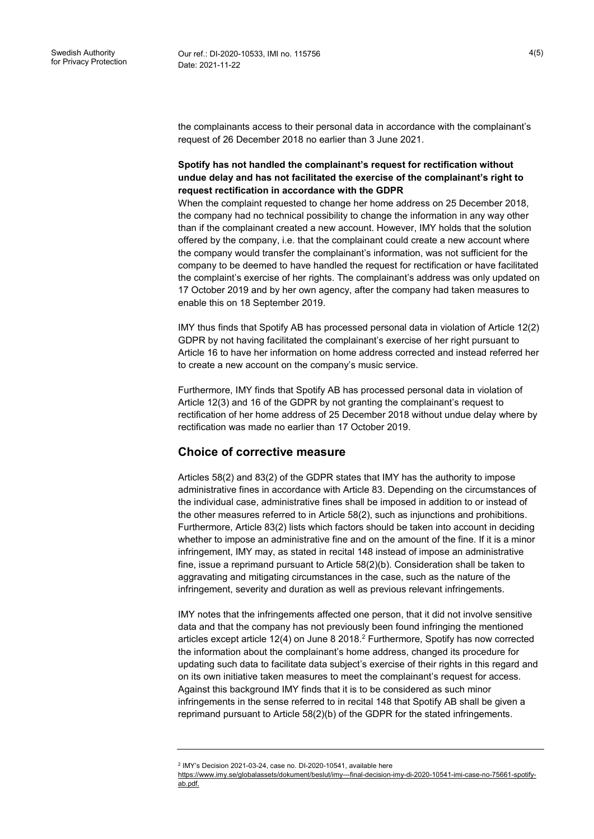the complainants access to their personal data in accordance with the complainant's request of 26 December 2018 no earlier than 3 June 2021.

### **Spotify has not handled the complainant's request for rectification without undue delay and has not facilitated the exercise of the complainant's right to request rectification in accordance with the GDPR**

When the complaint requested to change her home address on 25 December 2018, the company had no technical possibility to change the information in any way other than if the complainant created a new account. However, IMY holds that the solution offered by the company, i.e. that the complainant could create a new account where the company would transfer the complainant's information, was not sufficient for the company to be deemed to have handled the request for rectification or have facilitated the complaint's exercise of her rights. The complainant's address was only updated on 17 October 2019 and by her own agency, after the company had taken measures to enable this on 18 September 2019.

IMY thus finds that Spotify AB has processed personal data in violation of Article 12(2) GDPR by not having facilitated the complainant's exercise of her right pursuant to Article 16 to have her information on home address corrected and instead referred her to create a new account on the company's music service.

Furthermore, IMY finds that Spotify AB has processed personal data in violation of Article 12(3) and 16 of the GDPR by not granting the complainant's request to rectification of her home address of 25 December 2018 without undue delay where by rectification was made no earlier than 17 October 2019.

## **Choice of corrective measure**

Articles 58(2) and 83(2) of the GDPR states that IMY has the authority to impose administrative fines in accordance with Article 83. Depending on the circumstances of the individual case, administrative fines shall be imposed in addition to or instead of the other measures referred to in Article 58(2), such as injunctions and prohibitions. Furthermore, Article 83(2) lists which factors should be taken into account in deciding whether to impose an administrative fine and on the amount of the fine. If it is a minor infringement, IMY may, as stated in recital 148 instead of impose an administrative fine, issue a reprimand pursuant to Article 58(2)(b). Consideration shall be taken to aggravating and mitigating circumstances in the case, such as the nature of the infringement, severity and duration as well as previous relevant infringements.

IMY notes that the infringements affected one person, that it did not involve sensitive data and that the company has not previously been found infringing the mentioned articles except article  $12(4)$  on June 8 2018.<sup>2</sup> Furthermore, Spotify has now corrected the information about the complainant's home address, changed its procedure for updating such data to facilitate data subject's exercise of their rights in this regard and on its own initiative taken measures to meet the complainant's request for access. Against this background IMY finds that it is to be considered as such minor infringements in the sense referred to in recital 148 that Spotify AB shall be given a reprimand pursuant to Article 58(2)(b) of the GDPR for the stated infringements.

<sup>2</sup> IMY's Decision 2021-03-24, case no. DI-2020-10541, available here

[https://www.imy.se/globalassets/dokument/beslut/imy---final-decision-imy-di-2020-10541-imi-case-no-75661-spotify](https://www.imy.se/globalassets/dokument/beslut/imy---final-decision-imy-di-2020-10541-imi-case-no-75661-spotify-ab.pdf)[ab.pdf.](https://www.imy.se/globalassets/dokument/beslut/imy---final-decision-imy-di-2020-10541-imi-case-no-75661-spotify-ab.pdf)